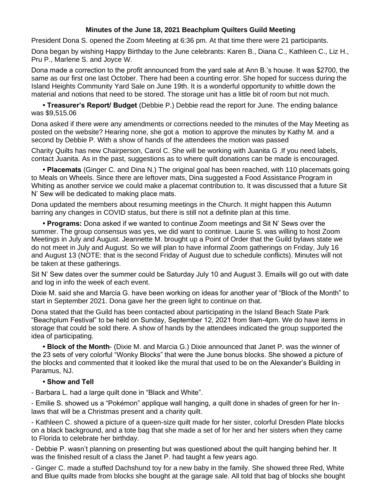## **Minutes of the June 18, 2021 Beachplum Quilters Guild Meeting**

President Dona S. opened the Zoom Meeting at 6:36 pm. At that time there were 21 participants.

Dona began by wishing Happy Birthday to the June celebrants: Karen B., Diana C., Kathleen C., Liz H., Pru P., Marlene S. and Joyce W.

Dona made a correction to the profit announced from the yard sale at Ann B.'s house. It was \$2700, the same as our first one last October. There had been a counting error. She hoped for success during the Island Heights Community Yard Sale on June 19th. It is a wonderful opportunity to whittle down the material and notions that need to be stored. The storage unit has a little bit of room but not much.

**• Treasurer's Report/ Budget** (Debbie P.) Debbie read the report for June. The ending balance was \$9,515.06

Dona asked if there were any amendments or corrections needed to the minutes of the May Meeting as posted on the website? Hearing none, she got a motion to approve the minutes by Kathy M. and a second by Debbie P. With a show of hands of the attendees the motion was passed

Charity Quilts has new Chairperson, Carol C. She will be working with Juanita G .If you need labels, contact Juanita. As in the past, suggestions as to where quilt donations can be made is encouraged.

**• Placemats** (Ginger C. and Dina N.) The original goal has been reached, with 110 placemats going to Meals on Wheels. Since there are leftover mats, Dina suggested a Food Assistance Program in Whiting as another service we could make a placemat contribution to. It was discussed that a future Sit N' Sew will be dedicated to making place mats.

Dona updated the members about resuming meetings in the Church. It might happen this Autumn barring any changes in COVID status, but there is still not a definite plan at this time.

**• Programs:** Dona asked if we wanted to continue Zoom meetings and Sit N' Sews over the summer. The group consensus was yes, we did want to continue. Laurie S. was willing to host Zoom Meetings in July and August. Jeannette M. brought up a Point of Order that the Guild bylaws state we do not meet in July and August. So we will plan to have informal Zoom gatherings on Friday, July 16 and August 13 (NOTE: that is the second Friday of August due to schedule conflicts). Minutes will not be taken at these gatherings.

Sit N' Sew dates over the summer could be Saturday July 10 and August 3. Emails will go out with date and log in info the week of each event.

Dixie M. said she and Marcia G. have been working on ideas for another year of "Block of the Month" to start in September 2021. Dona gave her the green light to continue on that.

Dona stated that the Guild has been contacted about participating in the Island Beach State Park "Beachplum Festival" to be held on Sunday, September 12, 2021 from 9am-4pm. We do have items in storage that could be sold there. A show of hands by the attendees indicated the group supported the idea of participating.

**• Block of the Month**- (Dixie M. and Marcia G.) Dixie announced that Janet P. was the winner of the 23 sets of very colorful "Wonky Blocks" that were the June bonus blocks. She showed a picture of the blocks and commented that it looked like the mural that used to be on the Alexander's Building in Paramus, NJ.

## **• Show and Tell**

- Barbara L. had a large quilt done in "Black and White".

- Emilie S. showed us a "Pokémon" applique wall hanging, a quilt done in shades of green for her Inlaws that will be a Christmas present and a charity quilt.

- Kathleen C. showed a picture of a queen-size quilt made for her sister, colorful Dresden Plate blocks on a black background, and a tote bag that she made a set of for her and her sisters when they came to Florida to celebrate her birthday.

- Debbie P. wasn't planning on presenting but was questioned about the quilt hanging behind her. It was the finished result of a class the Janet P. had taught a few years ago.

- Ginger C. made a stuffed Dachshund toy for a new baby in the family. She showed three Red, White and Blue quilts made from blocks she bought at the garage sale. All told that bag of blocks she bought